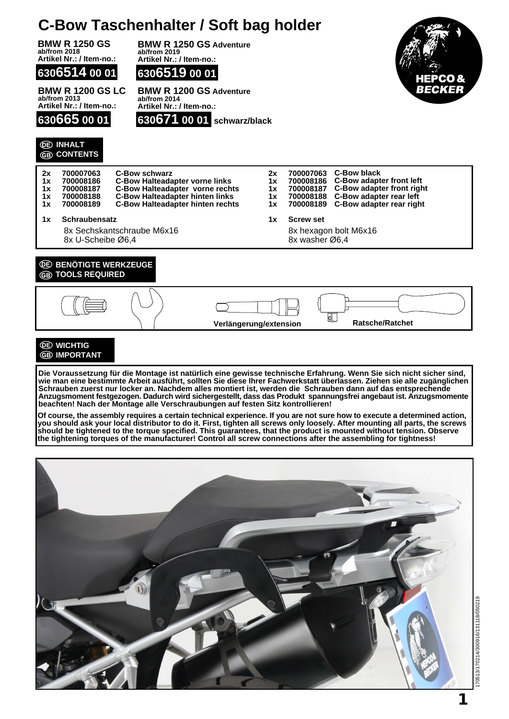## **C-Bow Taschenhalter / Soft bag holder**

**BMW R 1250 GS ab/from 2018 Artikel Nr.: / Item-no.:**

**6306514 00 01**

**BMW R 1200 GS LC ab/from 2013 Artikel Nr.: / Item-no.:**

**630665 00 01**

**INHALT CONTENTS**





**BMW R 1200 GS Adventure ab/from 2014 Artikel Nr.: / Item-no.:**







**Die Voraussetzung für die Montage ist natürlich eine gewisse technische Erfahrung. Wenn Sie sich nicht sicher sind, wie man eine bestimmte Arbeit ausführt, sollten Sie diese Ihrer Fachwerkstatt überlassen. Ziehen sie alle zugänglichen Schrauben zuerst nur locker an. Nachdem alles montiert ist, werden die Schrauben dann auf das entsprechende Anzugsmoment festgezogen. Dadurch wird sichergestellt, dass das Produkt spannungsfrei angebaut ist. Anzugsmomente beachten! Nach der Montage alle Verschraubungen auf festen Sitz kontrollieren!**

**Of course, the assembly requires a certain technical experience. If you are not sure how to execute a determined action, you should ask your local distributor to do it. First, tighten all screws only loosely. After mounting all parts, the screws should be tightened to the torque specified. This guarantees, that the product is mounted without tension. Observe the tightening torques of the manufacturer! Control all screw connections after the assembling for tightness!**